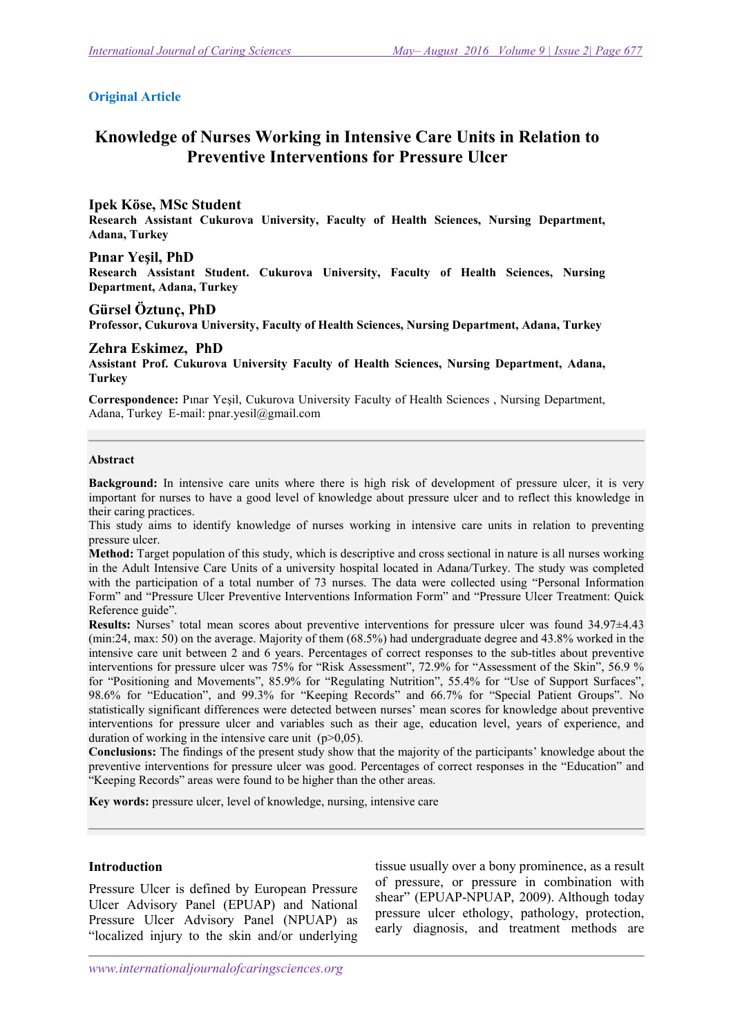#### Original Article

# Knowledge of Nurses Working in Intensive Care Units in Relation to Preventive Interventions for Pressure Ulcer

Ipek Köse, MSc Student<br>Research Assistant Cukurova University, Faculty of Health Sciences, Nursing Department, Adana, Turkey

#### Pınar Yeşil, PhD

Research Assistant Student. Cukurova University, Faculty of Health Sciences, Nursing Department, Adana, Turkey

#### Gürsel Öztunç, PhD

Professor, Cukurova University, Faculty of Health Sciences, Nursing Department, Adana, Turkey

#### Zehra Eskimez, PhD

Assistant Prof. Cukurova University Faculty of Health Sciences, Nursing Department, Adana, **Turkey** 

Correspondence: Pınar Yeşil, Cukurova University Faculty of Health Sciences , Nursing Department, Adana, Turkey E-mail: pnar.yesil@gmail.com

#### Abstract

Background: In intensive care units where there is high risk of development of pressure ulcer, it is very important for nurses to have a good level of knowledge about pressure ulcer and to reflect this knowledge in their caring practices.

This study aims to identify knowledge of nurses working in intensive care units in relation to preventing pressure ulcer.

Method: Target population of this study, which is descriptive and cross sectional in nature is all nurses working in the Adult Intensive Care Units of a university hospital located in Adana/Turkey. The study was completed with the participation of a total number of 73 nurses. The data were collected using "Personal Information Form" and "Pressure Ulcer Preventive Interventions Information Form" and "Pressure Ulcer Treatment: Quick Reference guide".

Results: Nurses' total mean scores about preventive interventions for pressure ulcer was found 34.97±4.43 (min:24, max: 50) on the average. Majority of them (68.5%) had undergraduate degree and 43.8% worked in the intensive care unit between 2 and 6 years. Percentages of correct responses to the sub-titles about preventive interventions for pressure ulcer was 75% for "Risk Assessment", 72.9% for "Assessment of the Skin", 56.9 % for "Positioning and Movements", 85.9% for "Regulating Nutrition", 55.4% for "Use of Support Surfaces", 98.6% for "Education", and 99.3% for "Keeping Records" and 66.7% for "Special Patient Groups". No statistically significant differences were detected between nurses' mean scores for knowledge about preventive interventions for pressure ulcer and variables such as their age, education level, years of experience, and duration of working in the intensive care unit  $(p>0.05)$ .

Conclusions: The findings of the present study show that the majority of the participants' knowledge about the preventive interventions for pressure ulcer was good. Percentages of correct responses in the "Education" and "Keeping Records" areas were found to be higher than the other areas.

Key words: pressure ulcer, level of knowledge, nursing, intensive care

#### Introduction

Pressure Ulcer is defined by European Pressure Ulcer Advisory Panel (EPUAP) and National Pressure Ulcer Advisory Panel (NPUAP) as "localized injury to the skin and/or underlying

tissue usually over a bony prominence, as a result of pressure, or pressure in combination with shear" (EPUAP-NPUAP, 2009). Although today pressure ulcer ethology, pathology, protection, early diagnosis, and treatment methods are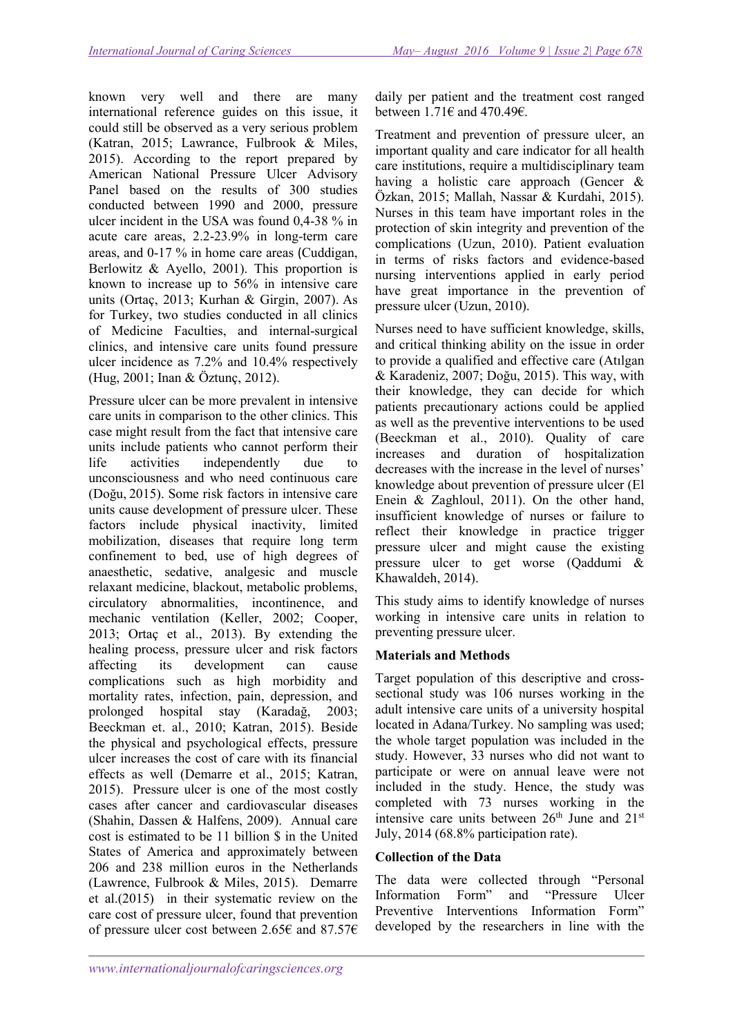known very well and there are many international reference guides on this issue, it could still be observed as a very serious problem (Katran, 2015; Lawrance, Fulbrook & Miles, 2015). According to the report prepared by American National Pressure Ulcer Advisory Panel based on the results of 300 studies conducted between 1990 and 2000, pressure ulcer incident in the USA was found 0,4-38 % in acute care areas, 2.2-23.9% in long-term care areas, and 0-17 % in home care areas (Cuddigan, Berlowitz & Ayello, 2001). This proportion is known to increase up to 56% in intensive care units (Ortaç, 2013; Kurhan & Girgin, 2007). As for Turkey, two studies conducted in all clinics of Medicine Faculties, and internal-surgical clinics, and intensive care units found pressure ulcer incidence as 7.2% and 10.4% respectively (Hug, 2001; Inan & Öztunç, 2012).

Pressure ulcer can be more prevalent in intensive care units in comparison to the other clinics. This case might result from the fact that intensive care units include patients who cannot perform their life activities independently due to unconsciousness and who need continuous care (Doğu, 2015). Some risk factors in intensive care units cause development of pressure ulcer. These factors include physical inactivity, limited mobilization, diseases that require long term confinement to bed, use of high degrees of anaesthetic, sedative, analgesic and muscle relaxant medicine, blackout, metabolic problems, circulatory abnormalities, incontinence, and mechanic ventilation (Keller, 2002; Cooper, 2013; Ortaç et al., 2013). By extending the healing process, pressure ulcer and risk factors affecting its development can cause complications such as high morbidity and mortality rates, infection, pain, depression, and prolonged hospital stay (Karadağ, 2003; Beeckman et. al., 2010; Katran, 2015). Beside the physical and psychological effects, pressure ulcer increases the cost of care with its financial effects as well (Demarre et al., 2015; Katran, 2015). Pressure ulcer is one of the most costly cases after cancer and cardiovascular diseases (Shahin, Dassen & Halfens, 2009). Annual care cost is estimated to be 11 billion \$ in the United States of America and approximately between 206 and 238 million euros in the Netherlands (Lawrence, Fulbrook & Miles, 2015). Demarre et al.(2015) in their systematic review on the care cost of pressure ulcer, found that prevention of pressure ulcer cost between 2.65€ and 87.57€

daily per patient and the treatment cost ranged between  $1.71\epsilon$  and  $470.49\epsilon$ .

Treatment and prevention of pressure ulcer, an important quality and care indicator for all health care institutions, require a multidisciplinary team having a holistic care approach (Gencer & Özkan, 2015; Mallah, Nassar & Kurdahi, 2015). Nurses in this team have important roles in the protection of skin integrity and prevention of the complications (Uzun, 2010). Patient evaluation in terms of risks factors and evidence-based nursing interventions applied in early period have great importance in the prevention of pressure ulcer (Uzun, 2010).

Nurses need to have sufficient knowledge, skills, and critical thinking ability on the issue in order to provide a qualified and effective care (Atılgan & Karadeniz, 2007; Doğu, 2015). This way, with their knowledge, they can decide for which patients precautionary actions could be applied as well as the preventive interventions to be used (Beeckman et al., 2010). Quality of care increases and duration of hospitalization decreases with the increase in the level of nurses' knowledge about prevention of pressure ulcer (El Enein & Zaghloul, 2011). On the other hand, insufficient knowledge of nurses or failure to reflect their knowledge in practice trigger pressure ulcer and might cause the existing pressure ulcer to get worse (Qaddumi & Khawaldeh, 2014).

This study aims to identify knowledge of nurses working in intensive care units in relation to preventing pressure ulcer.

## Materials and Methods

Target population of this descriptive and crosssectional study was 106 nurses working in the adult intensive care units of a university hospital located in Adana/Turkey. No sampling was used; the whole target population was included in the study. However, 33 nurses who did not want to participate or were on annual leave were not included in the study. Hence, the study was completed with 73 nurses working in the intensive care units between 26<sup>th</sup> June and 21<sup>st</sup> July, 2014 (68.8% participation rate).

## Collection of the Data

The data were collected through "Personal Information Form" and "Pressure Ulcer Preventive Interventions Information Form" developed by the researchers in line with the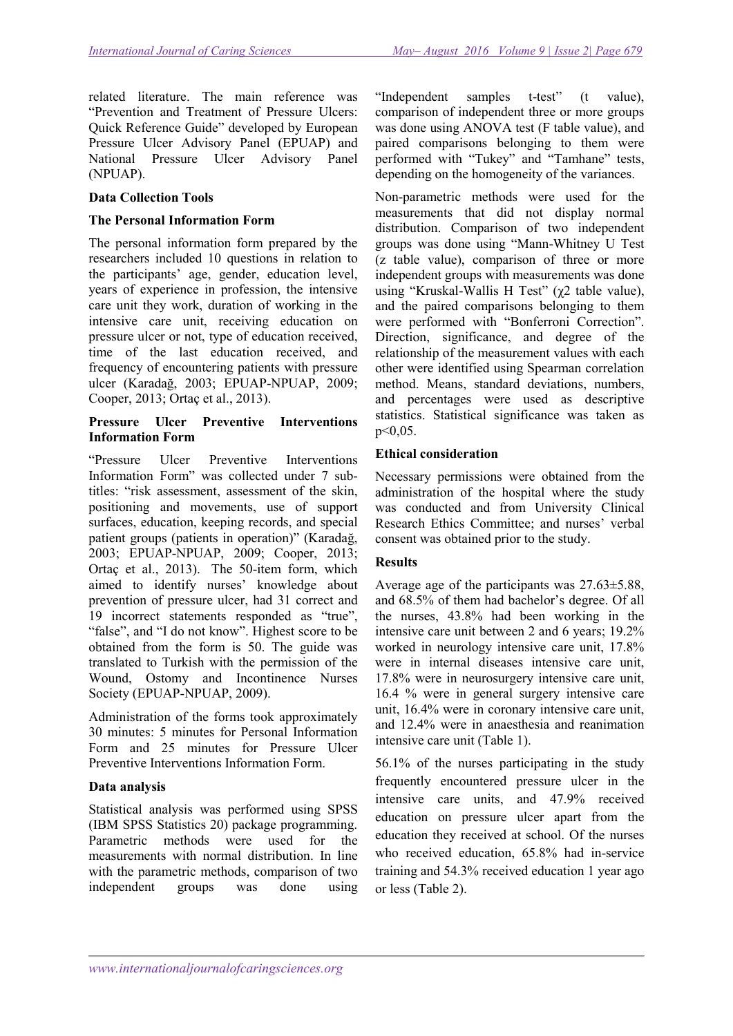related literature. The main reference was "Prevention and Treatment of Pressure Ulcers: Quick Reference Guide" developed by European Pressure Ulcer Advisory Panel (EPUAP) and National Pressure Ulcer Advisory Panel (NPUAP).

#### Data Collection Tools

#### The Personal Information Form

The personal information form prepared by the researchers included 10 questions in relation to the participants' age, gender, education level, years of experience in profession, the intensive care unit they work, duration of working in the intensive care unit, receiving education on pressure ulcer or not, type of education received, time of the last education received, and frequency of encountering patients with pressure ulcer (Karadağ, 2003; EPUAP-NPUAP, 2009; Cooper, 2013; Ortaç et al., 2013).

#### Pressure Ulcer Preventive Interventions Information Form

"Pressure Ulcer Preventive Interventions Information Form" was collected under 7 subtitles: "risk assessment, assessment of the skin, positioning and movements, use of support surfaces, education, keeping records, and special patient groups (patients in operation)" (Karadağ, 2003; EPUAP-NPUAP, 2009; Cooper, 2013; Ortaç et al., 2013). The 50-item form, which aimed to identify nurses' knowledge about prevention of pressure ulcer, had 31 correct and 19 incorrect statements responded as "true", "false", and "I do not know". Highest score to be obtained from the form is 50. The guide was translated to Turkish with the permission of the Wound, Ostomy and Incontinence Nurses Society (EPUAP-NPUAP, 2009).

Administration of the forms took approximately 30 minutes: 5 minutes for Personal Information Form and 25 minutes for Pressure Ulcer Preventive Interventions Information Form.

## Data analysis

Statistical analysis was performed using SPSS (IBM SPSS Statistics 20) package programming. Parametric methods were used for the measurements with normal distribution. In line with the parametric methods, comparison of two independent groups was done using

"Independent samples t-test" (t value), comparison of independent three or more groups was done using ANOVA test (F table value), and paired comparisons belonging to them were performed with "Tukey" and "Tamhane" tests, depending on the homogeneity of the variances.

Non-parametric methods were used for the measurements that did not display normal distribution. Comparison of two independent groups was done using "Mann-Whitney U Test (z table value), comparison of three or more independent groups with measurements was done using "Kruskal-Wallis H Test" (χ2 table value), and the paired comparisons belonging to them were performed with "Bonferroni Correction". Direction, significance, and degree of the relationship of the measurement values with each other were identified using Spearman correlation method. Means, standard deviations, numbers, and percentages were used as descriptive statistics. Statistical significance was taken as p˂0,05.

#### Ethical consideration

Necessary permissions were obtained from the administration of the hospital where the study was conducted and from University Clinical Research Ethics Committee; and nurses' verbal consent was obtained prior to the study.

#### **Results**

Average age of the participants was 27.63±5.88, and 68.5% of them had bachelor's degree. Of all the nurses, 43.8% had been working in the intensive care unit between 2 and 6 years; 19.2% worked in neurology intensive care unit, 17.8% were in internal diseases intensive care unit, 17.8% were in neurosurgery intensive care unit, 16.4 % were in general surgery intensive care unit, 16.4% were in coronary intensive care unit, and 12.4% were in anaesthesia and reanimation intensive care unit (Table 1).

56.1% of the nurses participating in the study frequently encountered pressure ulcer in the intensive care units, and 47.9% received education on pressure ulcer apart from the education they received at school. Of the nurses who received education, 65.8% had in-service training and 54.3% received education 1 year ago or less (Table 2).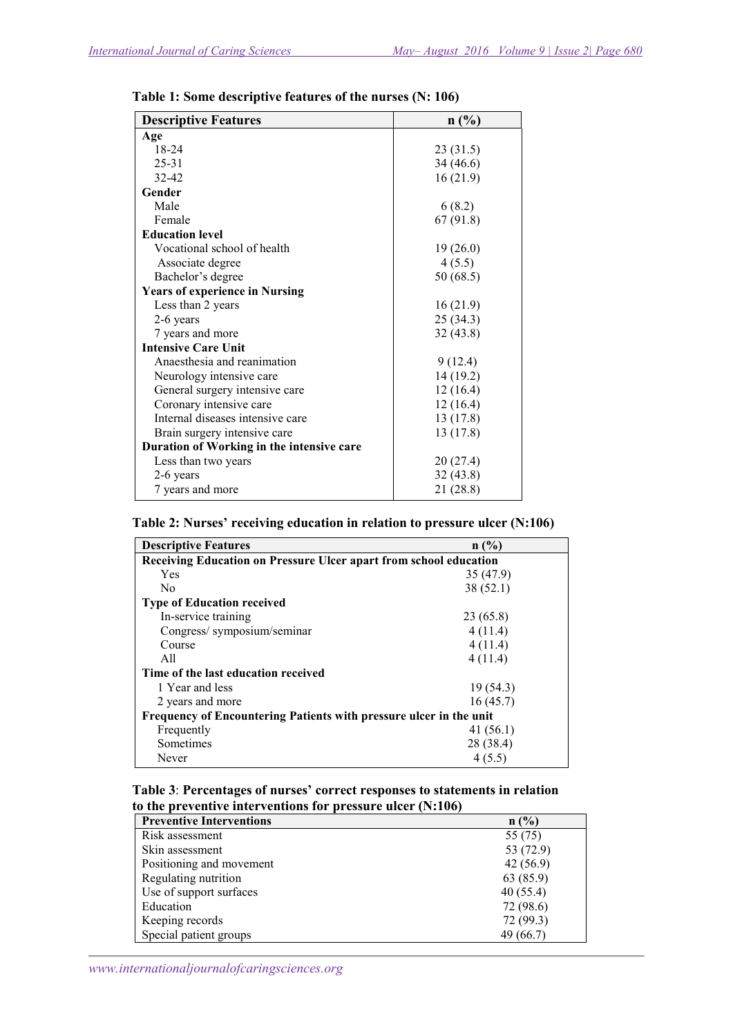| <b>Descriptive Features</b>               | n(%)      |
|-------------------------------------------|-----------|
| Age                                       |           |
| $18-24$                                   | 23 (31.5) |
| $25 - 31$                                 | 34 (46.6) |
| $32 - 42$                                 | 16(21.9)  |
| Gender                                    |           |
| Male                                      | 6(8.2)    |
| Female                                    | 67 (91.8) |
| <b>Education level</b>                    |           |
| Vocational school of health               | 19(26.0)  |
| Associate degree                          | 4(5.5)    |
| Bachelor's degree                         | 50(68.5)  |
| <b>Years of experience in Nursing</b>     |           |
| Less than 2 years                         | 16(21.9)  |
| 2-6 years                                 | 25(34.3)  |
| 7 years and more                          | 32(43.8)  |
| <b>Intensive Care Unit</b>                |           |
| Anaesthesia and reanimation               | 9(12.4)   |
| Neurology intensive care                  | 14 (19.2) |
| General surgery intensive care            | 12(16.4)  |
| Coronary intensive care                   | 12(16.4)  |
| Internal diseases intensive care          | 13 (17.8) |
| Brain surgery intensive care              | 13(17.8)  |
| Duration of Working in the intensive care |           |
| Less than two years                       | 20(27.4)  |
| 2-6 years                                 | 32(43.8)  |
| 7 years and more                          | 21 (28.8) |

Table 1: Some descriptive features of the nurses (N: 106)

#### Table 2: Nurses' receiving education in relation to pressure ulcer (N:106)

| <b>Descriptive Features</b>                                        | n(%)      |  |  |  |
|--------------------------------------------------------------------|-----------|--|--|--|
| Receiving Education on Pressure Ulcer apart from school education  |           |  |  |  |
| Yes                                                                | 35 (47.9) |  |  |  |
| No                                                                 | 38(52.1)  |  |  |  |
| <b>Type of Education received</b>                                  |           |  |  |  |
| In-service training                                                | 23 (65.8) |  |  |  |
| Congress/ symposium/seminar                                        | 4(11.4)   |  |  |  |
| Course                                                             | 4(11.4)   |  |  |  |
| A11                                                                | 4(11.4)   |  |  |  |
| Time of the last education received                                |           |  |  |  |
| 1 Year and less                                                    | 19(54.3)  |  |  |  |
| 2 years and more                                                   | 16(45.7)  |  |  |  |
| Frequency of Encountering Patients with pressure ulcer in the unit |           |  |  |  |
| Frequently                                                         | 41(56.1)  |  |  |  |
| Sometimes                                                          | 28 (38.4) |  |  |  |
| Never                                                              | 4(5.5)    |  |  |  |

#### Table 3: Percentages of nurses' correct responses to statements in relation to the preventive interventions for pressure ulcer (N:106)

| <b>Preventive Interventions</b> | n(%)      |
|---------------------------------|-----------|
| Risk assessment                 | 55 (75)   |
| Skin assessment                 | 53 (72.9) |
| Positioning and movement        | 42(56.9)  |
| Regulating nutrition            | 63 (85.9) |
| Use of support surfaces         | 40(55.4)  |
| Education                       | 72 (98.6) |
| Keeping records                 | 72 (99.3) |
| Special patient groups          | 49 (66.7) |

www.internationaljournalofcaringsciences.org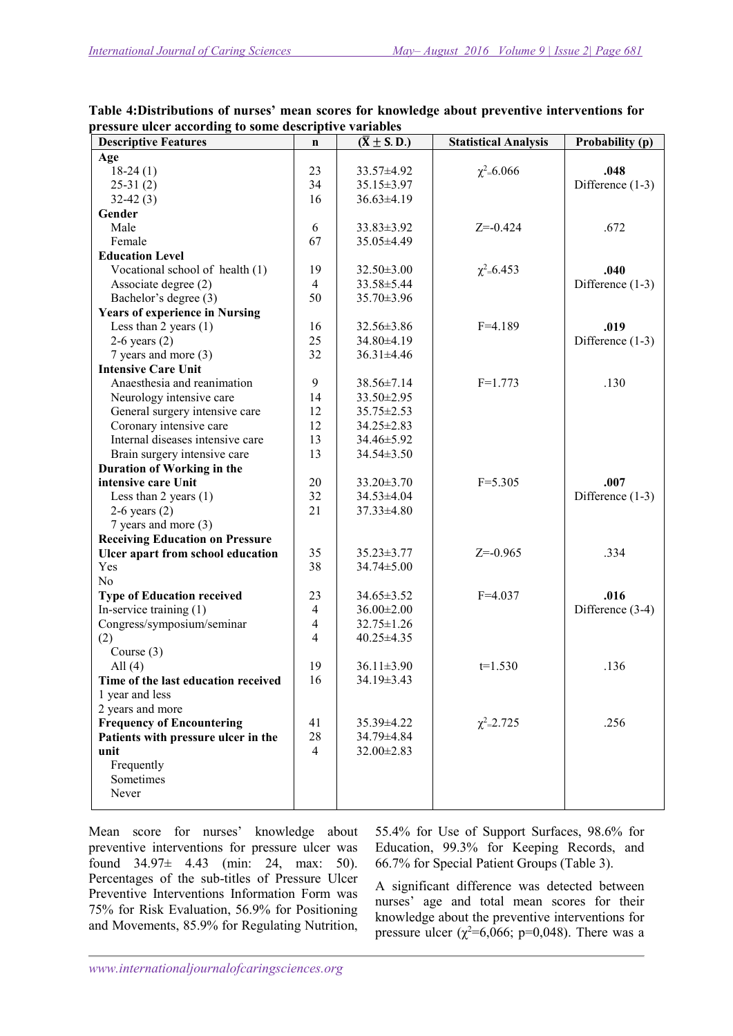| $\alpha$ casure them according to some descriptive variables<br><b>Descriptive Features</b> | $\mathbf n$    | $(\overline{X} \pm S.D.)$ | <b>Statistical Analysis</b> | Probability (p)    |
|---------------------------------------------------------------------------------------------|----------------|---------------------------|-----------------------------|--------------------|
|                                                                                             |                |                           |                             |                    |
| Age                                                                                         |                |                           |                             |                    |
| $18-24(1)$                                                                                  | 23             | 33.57±4.92                | $\chi^2 = 6.066$            | .048               |
| $25-31(2)$                                                                                  | 34             | 35.15±3.97                |                             | Difference (1-3)   |
| $32-42(3)$                                                                                  | 16             | $36.63\pm4.19$            |                             |                    |
| Gender                                                                                      |                |                           |                             |                    |
| Male                                                                                        | 6              | 33.83±3.92                | $Z = -0.424$                | .672               |
| Female                                                                                      | 67             | 35.05±4.49                |                             |                    |
| <b>Education Level</b>                                                                      |                |                           |                             |                    |
| Vocational school of health (1)                                                             | 19             | $32.50 \pm 3.00$          | $\chi^2 = 6.453$            | .040               |
| Associate degree (2)                                                                        | $\overline{4}$ | 33.58±5.44                |                             | Difference $(1-3)$ |
| Bachelor's degree (3)                                                                       | 50             | 35.70±3.96                |                             |                    |
| <b>Years of experience in Nursing</b>                                                       |                |                           |                             |                    |
| Less than $2$ years $(1)$                                                                   | 16             | 32.56±3.86                | $F = 4.189$                 | .019               |
| $2-6$ years $(2)$                                                                           | 25             | 34.80±4.19                |                             | Difference $(1-3)$ |
| 7 years and more (3)                                                                        | 32             | 36.31±4.46                |                             |                    |
| <b>Intensive Care Unit</b>                                                                  |                |                           |                             |                    |
| Anaesthesia and reanimation                                                                 | 9              | 38.56±7.14                | $F=1.773$                   | .130               |
|                                                                                             | 14             | 33.50±2.95                |                             |                    |
| Neurology intensive care                                                                    |                |                           |                             |                    |
| General surgery intensive care                                                              | 12             | 35.75 ± 2.53              |                             |                    |
| Coronary intensive care                                                                     | 12             | 34.25±2.83                |                             |                    |
| Internal diseases intensive care                                                            | 13             | 34.46±5.92                |                             |                    |
| Brain surgery intensive care                                                                | 13             | 34.54±3.50                |                             |                    |
| Duration of Working in the                                                                  |                |                           |                             |                    |
| intensive care Unit                                                                         | 20             | 33.20±3.70                | $F = 5.305$                 | .007               |
| Less than $2$ years $(1)$                                                                   | 32             | 34.53±4.04                |                             | Difference $(1-3)$ |
| $2-6$ years $(2)$                                                                           | 21             | 37.33±4.80                |                             |                    |
| 7 years and more (3)                                                                        |                |                           |                             |                    |
| <b>Receiving Education on Pressure</b>                                                      |                |                           |                             |                    |
| Ulcer apart from school education                                                           | 35             | 35.23±3.77                | $Z = -0.965$                | .334               |
| Yes                                                                                         | 38             | 34.74±5.00                |                             |                    |
| No                                                                                          |                |                           |                             |                    |
| <b>Type of Education received</b>                                                           | 23             | $34.65 \pm 3.52$          | $F = 4.037$                 | .016               |
| In-service training $(1)$                                                                   | $\overline{4}$ | $36.00 \pm 2.00$          |                             | Difference (3-4)   |
| Congress/symposium/seminar                                                                  | $\overline{4}$ | $32.75 \pm 1.26$          |                             |                    |
|                                                                                             | $\overline{4}$ | 40.25±4.35                |                             |                    |
| (2)                                                                                         |                |                           |                             |                    |
| Course $(3)$                                                                                |                |                           |                             | .136               |
| All $(4)$                                                                                   | 19             | 36.11±3.90                | $t=1.530$                   |                    |
| Time of the last education received                                                         | 16             | 34.19±3.43                |                             |                    |
| 1 year and less                                                                             |                |                           |                             |                    |
| 2 years and more                                                                            |                |                           |                             |                    |
| <b>Frequency of Encountering</b>                                                            | 41             | 35.39±4.22                | $\chi^2 = 2.725$            | .256               |
| Patients with pressure ulcer in the                                                         | 28             | 34.79±4.84                |                             |                    |
| unit                                                                                        | $\overline{4}$ | 32.00±2.83                |                             |                    |
| Frequently                                                                                  |                |                           |                             |                    |
| Sometimes                                                                                   |                |                           |                             |                    |
| Never                                                                                       |                |                           |                             |                    |
|                                                                                             |                |                           |                             |                    |

Table 4:Distributions of nurses' mean scores for knowledge about preventive interventions for pressure ulcer according to some descriptive variables

Mean score for nurses' knowledge about preventive interventions for pressure ulcer was found 34.97± 4.43 (min: 24, max: 50). Percentages of the sub-titles of Pressure Ulcer Preventive Interventions Information Form was 75% for Risk Evaluation, 56.9% for Positioning and Movements, 85.9% for Regulating Nutrition,

55.4% for Use of Support Surfaces, 98.6% for Education, 99.3% for Keeping Records, and 66.7% for Special Patient Groups (Table 3).

A significant difference was detected between nurses' age and total mean scores for their knowledge about the preventive interventions for pressure ulcer ( $\chi^2$ =6,066; p=0,048). There was a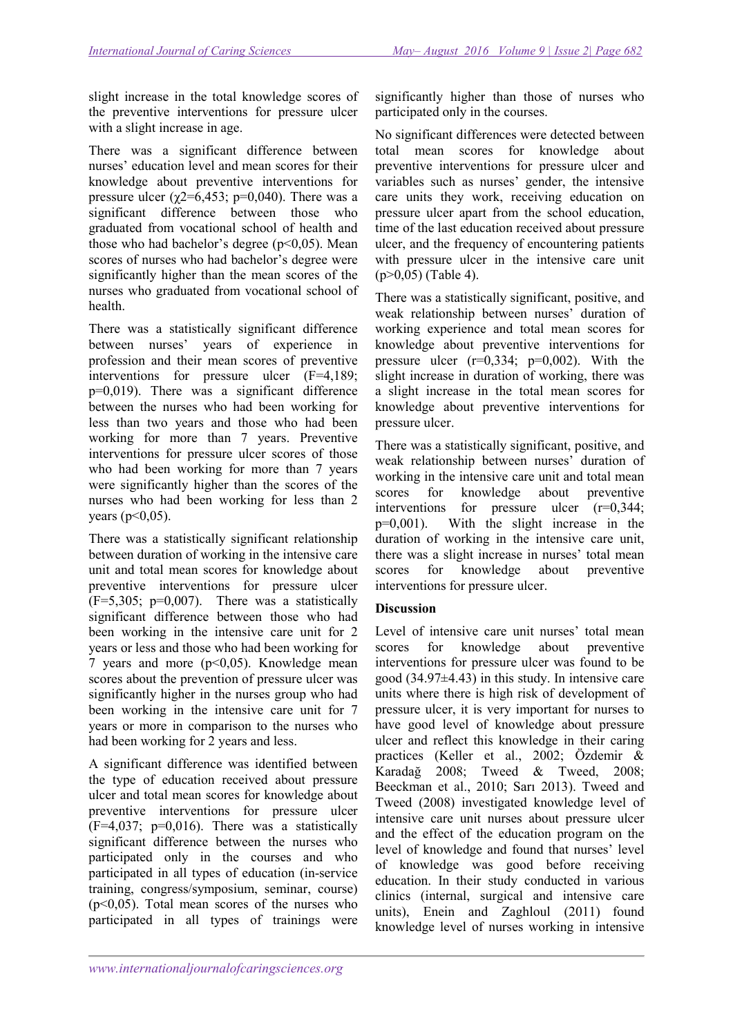slight increase in the total knowledge scores of the preventive interventions for pressure ulcer with a slight increase in age.

There was a significant difference between nurses' education level and mean scores for their knowledge about preventive interventions for pressure ulcer ( $\chi$ 2=6,453; p=0,040). There was a significant difference between those who graduated from vocational school of health and those who had bachelor's degree  $(p<0.05)$ . Mean scores of nurses who had bachelor's degree were significantly higher than the mean scores of the nurses who graduated from vocational school of health.

There was a statistically significant difference between nurses' years of experience in profession and their mean scores of preventive interventions for pressure ulcer (F=4,189; p=0,019). There was a significant difference between the nurses who had been working for less than two years and those who had been working for more than 7 years. Preventive interventions for pressure ulcer scores of those who had been working for more than 7 years were significantly higher than the scores of the nurses who had been working for less than 2 vears ( $p < 0.05$ ).

There was a statistically significant relationship between duration of working in the intensive care unit and total mean scores for knowledge about preventive interventions for pressure ulcer  $(F=5,305; p=0,007)$ . There was a statistically significant difference between those who had been working in the intensive care unit for 2 years or less and those who had been working for 7 years and more  $(p<0.05)$ . Knowledge mean scores about the prevention of pressure ulcer was significantly higher in the nurses group who had been working in the intensive care unit for 7 years or more in comparison to the nurses who had been working for 2 years and less.

A significant difference was identified between the type of education received about pressure ulcer and total mean scores for knowledge about preventive interventions for pressure ulcer  $(F=4,037; p=0,016)$ . There was a statistically significant difference between the nurses who participated only in the courses and who participated in all types of education (in-service training, congress/symposium, seminar, course)  $(p<0.05)$ . Total mean scores of the nurses who participated in all types of trainings were

significantly higher than those of nurses who participated only in the courses.

No significant differences were detected between total mean scores for knowledge about preventive interventions for pressure ulcer and variables such as nurses' gender, the intensive care units they work, receiving education on pressure ulcer apart from the school education, time of the last education received about pressure ulcer, and the frequency of encountering patients with pressure ulcer in the intensive care unit  $(p>0,05)$  (Table 4).

There was a statistically significant, positive, and weak relationship between nurses' duration of working experience and total mean scores for knowledge about preventive interventions for pressure ulcer  $(r=0.334; p=0.002)$ . With the slight increase in duration of working, there was a slight increase in the total mean scores for knowledge about preventive interventions for pressure ulcer.

There was a statistically significant, positive, and weak relationship between nurses' duration of working in the intensive care unit and total mean scores for knowledge about preventive interventions for pressure ulcer (r=0,344;  $p=0,001$ ). With the slight increase in the duration of working in the intensive care unit, there was a slight increase in nurses' total mean scores for knowledge about preventive interventions for pressure ulcer.

## **Discussion**

Level of intensive care unit nurses' total mean scores for knowledge about preventive interventions for pressure ulcer was found to be good (34.97±4.43) in this study. In intensive care units where there is high risk of development of pressure ulcer, it is very important for nurses to have good level of knowledge about pressure ulcer and reflect this knowledge in their caring practices (Keller et al., 2002; Özdemir & Karadağ 2008; Tweed & Tweed, 2008; Beeckman et al., 2010; Sarı 2013). Tweed and Tweed (2008) investigated knowledge level of intensive care unit nurses about pressure ulcer and the effect of the education program on the level of knowledge and found that nurses' level of knowledge was good before receiving education. In their study conducted in various clinics (internal, surgical and intensive care units), Enein and Zaghloul (2011) found knowledge level of nurses working in intensive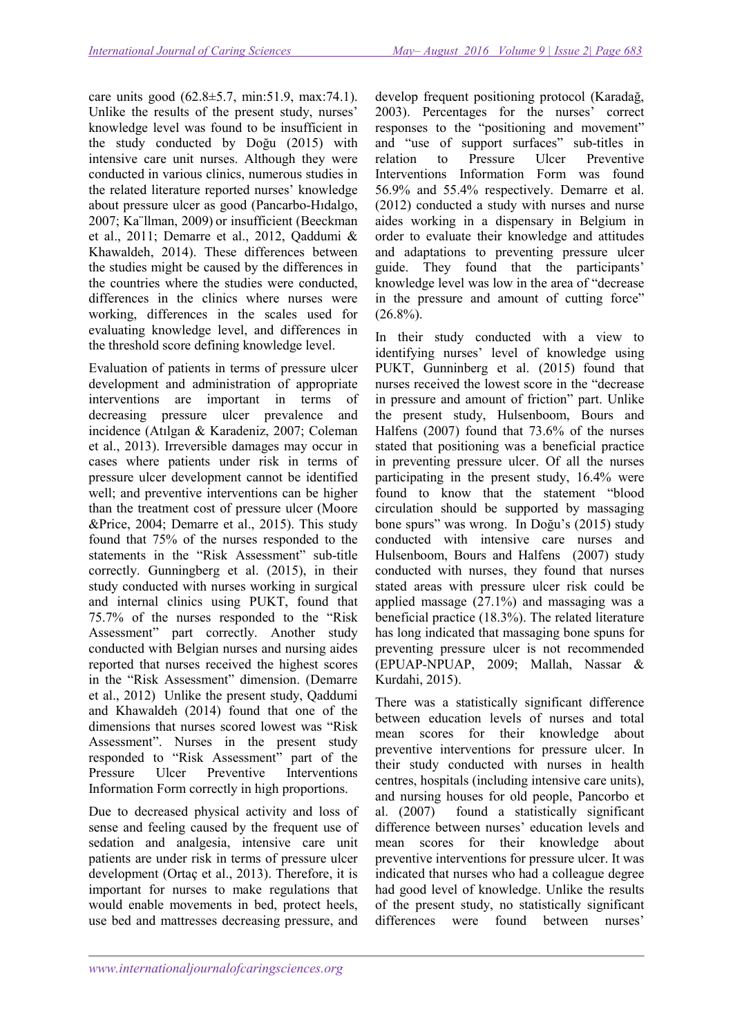care units good (62.8±5.7, min:51.9, max:74.1). Unlike the results of the present study, nurses' knowledge level was found to be insufficient in the study conducted by Doğu (2015) with intensive care unit nurses. Although they were conducted in various clinics, numerous studies in the related literature reported nurses' knowledge about pressure ulcer as good (Pancarbo-Hıdalgo, 2007; Ka¨llman, 2009) or insufficient (Beeckman et al., 2011; Demarre et al., 2012, Qaddumi & Khawaldeh, 2014). These differences between the studies might be caused by the differences in the countries where the studies were conducted, differences in the clinics where nurses were working, differences in the scales used for evaluating knowledge level, and differences in the threshold score defining knowledge level.

Evaluation of patients in terms of pressure ulcer development and administration of appropriate interventions are important in terms of decreasing pressure ulcer prevalence and incidence (Atılgan & Karadeniz, 2007; Coleman et al., 2013). Irreversible damages may occur in cases where patients under risk in terms of pressure ulcer development cannot be identified well; and preventive interventions can be higher than the treatment cost of pressure ulcer (Moore &Price, 2004; Demarre et al., 2015). This study found that 75% of the nurses responded to the statements in the "Risk Assessment" sub-title correctly. Gunningberg et al. (2015), in their study conducted with nurses working in surgical and internal clinics using PUKT, found that 75.7% of the nurses responded to the "Risk Assessment" part correctly. Another study conducted with Belgian nurses and nursing aides reported that nurses received the highest scores in the "Risk Assessment" dimension. (Demarre et al., 2012) Unlike the present study, Qaddumi and Khawaldeh (2014) found that one of the dimensions that nurses scored lowest was "Risk Assessment". Nurses in the present study responded to "Risk Assessment" part of the Pressure Ulcer Preventive Interventions Information Form correctly in high proportions.

Due to decreased physical activity and loss of sense and feeling caused by the frequent use of sedation and analgesia, intensive care unit patients are under risk in terms of pressure ulcer development (Ortaç et al., 2013). Therefore, it is important for nurses to make regulations that would enable movements in bed, protect heels, use bed and mattresses decreasing pressure, and

develop frequent positioning protocol (Karadağ, 2003). Percentages for the nurses' correct responses to the "positioning and movement" and "use of support surfaces" sub-titles in relation to Pressure Ulcer Preventive Interventions Information Form was found 56.9% and 55.4% respectively. Demarre et al. (2012) conducted a study with nurses and nurse aides working in a dispensary in Belgium in order to evaluate their knowledge and attitudes and adaptations to preventing pressure ulcer guide. They found that the participants' knowledge level was low in the area of "decrease in the pressure and amount of cutting force"  $(26.8\%)$ .

In their study conducted with a view to identifying nurses' level of knowledge using PUKT, Gunninberg et al. (2015) found that nurses received the lowest score in the "decrease in pressure and amount of friction" part. Unlike the present study, Hulsenboom, Bours and Halfens (2007) found that 73.6% of the nurses stated that positioning was a beneficial practice in preventing pressure ulcer. Of all the nurses participating in the present study, 16.4% were found to know that the statement "blood circulation should be supported by massaging bone spurs" was wrong. In Doğu's (2015) study conducted with intensive care nurses and Hulsenboom, Bours and Halfens (2007) study conducted with nurses, they found that nurses stated areas with pressure ulcer risk could be applied massage (27.1%) and massaging was a beneficial practice (18.3%). The related literature has long indicated that massaging bone spuns for preventing pressure ulcer is not recommended (EPUAP-NPUAP, 2009; Mallah, Nassar & Kurdahi, 2015).

There was a statistically significant difference between education levels of nurses and total mean scores for their knowledge about preventive interventions for pressure ulcer. In their study conducted with nurses in health centres, hospitals (including intensive care units), and nursing houses for old people, Pancorbo et al. (2007) found a statistically significant difference between nurses' education levels and mean scores for their knowledge about preventive interventions for pressure ulcer. It was indicated that nurses who had a colleague degree had good level of knowledge. Unlike the results of the present study, no statistically significant differences were found between nurses'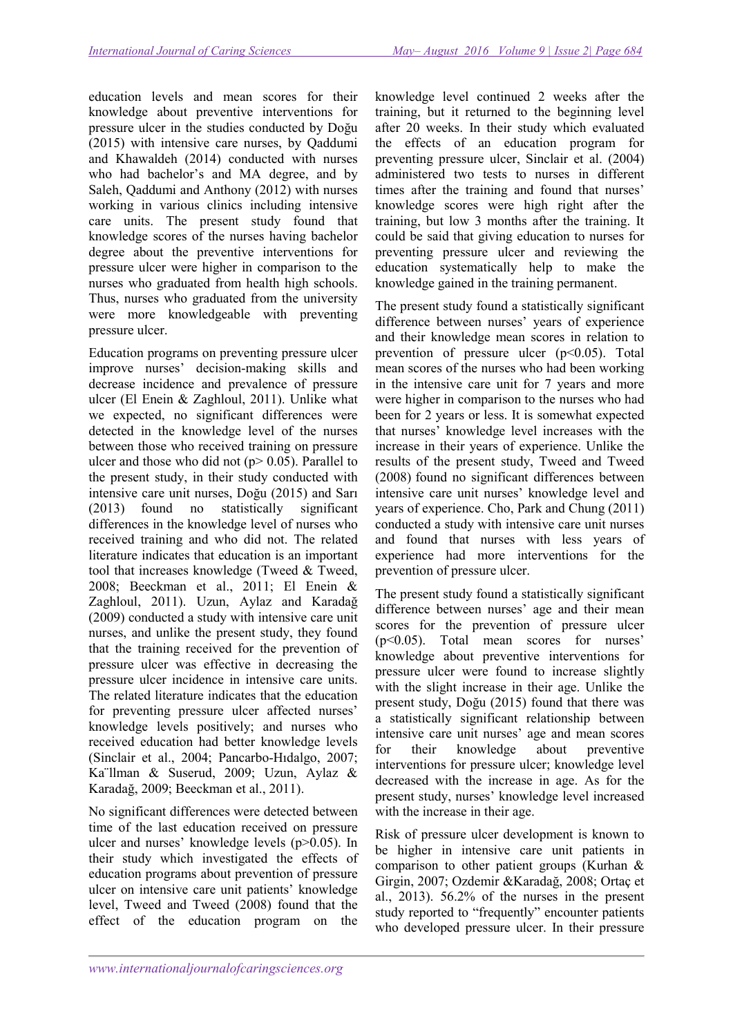education levels and mean scores for their knowledge about preventive interventions for pressure ulcer in the studies conducted by Doğu (2015) with intensive care nurses, by Qaddumi and Khawaldeh (2014) conducted with nurses who had bachelor's and MA degree, and by Saleh, Qaddumi and Anthony (2012) with nurses working in various clinics including intensive care units. The present study found that knowledge scores of the nurses having bachelor degree about the preventive interventions for pressure ulcer were higher in comparison to the nurses who graduated from health high schools. Thus, nurses who graduated from the university were more knowledgeable with preventing pressure ulcer.

Education programs on preventing pressure ulcer improve nurses' decision-making skills and decrease incidence and prevalence of pressure ulcer (El Enein & Zaghloul, 2011). Unlike what we expected, no significant differences were detected in the knowledge level of the nurses between those who received training on pressure ulcer and those who did not ( $p$  > 0.05). Parallel to the present study, in their study conducted with intensive care unit nurses, Doğu (2015) and Sarı (2013) found no statistically significant differences in the knowledge level of nurses who received training and who did not. The related literature indicates that education is an important tool that increases knowledge (Tweed & Tweed, 2008; Beeckman et al., 2011; El Enein & Zaghloul, 2011). Uzun, Aylaz and Karadağ (2009) conducted a study with intensive care unit nurses, and unlike the present study, they found that the training received for the prevention of pressure ulcer was effective in decreasing the pressure ulcer incidence in intensive care units. The related literature indicates that the education for preventing pressure ulcer affected nurses' knowledge levels positively; and nurses who received education had better knowledge levels (Sinclair et al., 2004; Pancarbo-Hıdalgo, 2007; Ka¨llman & Suserud, 2009; Uzun, Aylaz & Karadağ, 2009; Beeckman et al., 2011).

No significant differences were detected between time of the last education received on pressure ulcer and nurses' knowledge levels (p>0.05). In their study which investigated the effects of education programs about prevention of pressure ulcer on intensive care unit patients' knowledge level, Tweed and Tweed (2008) found that the effect of the education program on the

knowledge level continued 2 weeks after the training, but it returned to the beginning level after 20 weeks. In their study which evaluated the effects of an education program for preventing pressure ulcer, Sinclair et al. (2004) administered two tests to nurses in different times after the training and found that nurses' knowledge scores were high right after the training, but low 3 months after the training. It could be said that giving education to nurses for preventing pressure ulcer and reviewing the education systematically help to make the knowledge gained in the training permanent.

The present study found a statistically significant difference between nurses' years of experience and their knowledge mean scores in relation to prevention of pressure ulcer (p˂0.05). Total mean scores of the nurses who had been working in the intensive care unit for 7 years and more were higher in comparison to the nurses who had been for 2 years or less. It is somewhat expected that nurses' knowledge level increases with the increase in their years of experience. Unlike the results of the present study, Tweed and Tweed (2008) found no significant differences between intensive care unit nurses' knowledge level and years of experience. Cho, Park and Chung (2011) conducted a study with intensive care unit nurses and found that nurses with less years of experience had more interventions for the prevention of pressure ulcer.

The present study found a statistically significant difference between nurses' age and their mean scores for the prevention of pressure ulcer (p˂0.05). Total mean scores for nurses' knowledge about preventive interventions for pressure ulcer were found to increase slightly with the slight increase in their age. Unlike the present study, Doğu (2015) found that there was a statistically significant relationship between intensive care unit nurses' age and mean scores for their knowledge about preventive interventions for pressure ulcer; knowledge level decreased with the increase in age. As for the present study, nurses' knowledge level increased with the increase in their age.

Risk of pressure ulcer development is known to be higher in intensive care unit patients in comparison to other patient groups (Kurhan & Girgin, 2007; Ozdemir &Karadağ, 2008; Ortaç et al., 2013). 56.2% of the nurses in the present study reported to "frequently" encounter patients who developed pressure ulcer. In their pressure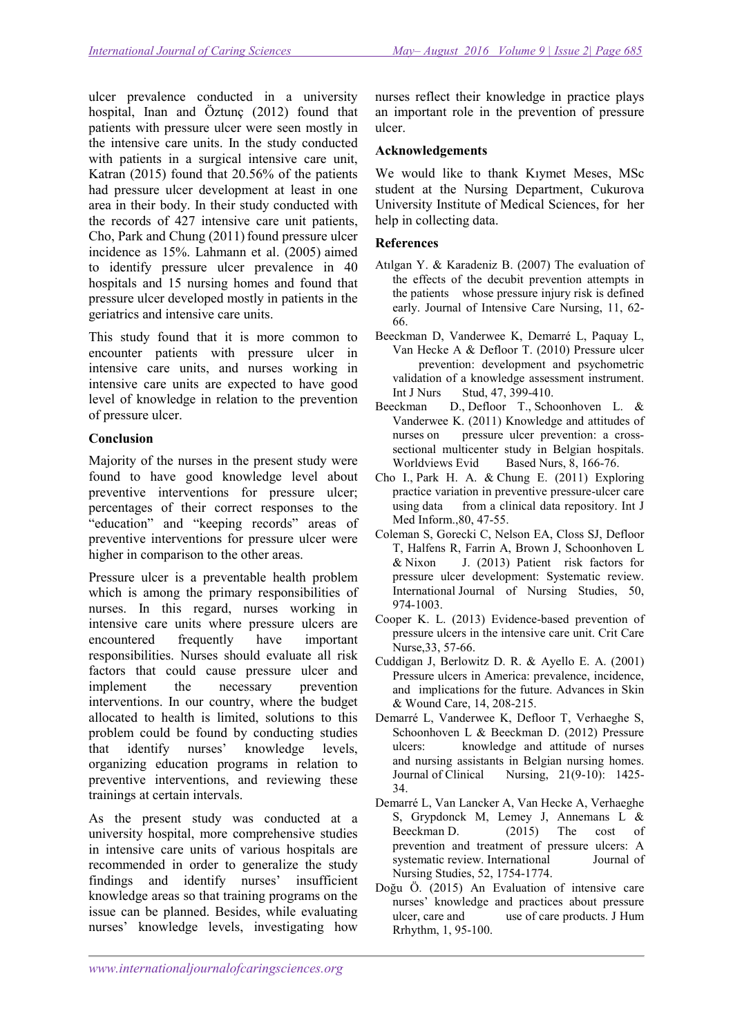ulcer prevalence conducted in a university hospital, Inan and Öztunç (2012) found that patients with pressure ulcer were seen mostly in the intensive care units. In the study conducted with patients in a surgical intensive care unit. Katran (2015) found that 20.56% of the patients had pressure ulcer development at least in one area in their body. In their study conducted with the records of 427 intensive care unit patients, Cho, Park and Chung (2011) found pressure ulcer incidence as 15%. Lahmann et al. (2005) aimed to identify pressure ulcer prevalence in 40 hospitals and 15 nursing homes and found that pressure ulcer developed mostly in patients in the geriatrics and intensive care units.

This study found that it is more common to encounter patients with pressure ulcer in intensive care units, and nurses working in intensive care units are expected to have good level of knowledge in relation to the prevention of pressure ulcer.

## Conclusion

Majority of the nurses in the present study were found to have good knowledge level about preventive interventions for pressure ulcer; percentages of their correct responses to the "education" and "keeping records" areas of preventive interventions for pressure ulcer were higher in comparison to the other areas.

Pressure ulcer is a preventable health problem which is among the primary responsibilities of nurses. In this regard, nurses working in intensive care units where pressure ulcers are encountered frequently have important responsibilities. Nurses should evaluate all risk factors that could cause pressure ulcer and implement the necessary prevention interventions. In our country, where the budget allocated to health is limited, solutions to this problem could be found by conducting studies that identify nurses' knowledge levels, organizing education programs in relation to preventive interventions, and reviewing these trainings at certain intervals.

As the present study was conducted at a university hospital, more comprehensive studies in intensive care units of various hospitals are recommended in order to generalize the study findings and identify nurses' insufficient knowledge areas so that training programs on the issue can be planned. Besides, while evaluating nurses' knowledge levels, investigating how

nurses reflect their knowledge in practice plays an important role in the prevention of pressure ulcer.

## Acknowledgements

We would like to thank Kıymet Meses, MSc student at the Nursing Department, Cukurova University Institute of Medical Sciences, for her help in collecting data.

## References

- Atılgan Y. & Karadeniz B. (2007) The evaluation of the effects of the decubit prevention attempts in the patients whose pressure injury risk is defined early. Journal of Intensive Care Nursing, 11, 62- 66.
- Beeckman D, Vanderwee K, Demarré L, Paquay L, Van Hecke A & Defloor T. (2010) Pressure ulcer prevention: development and psychometric validation of a knowledge assessment instrument. Int J Nurs Stud, 47, 399-410.
- Beeckman D., Defloor T., Schoonhoven L. & Vanderwee K. (2011) Knowledge and attitudes of nurses on pressure ulcer prevention: a crosssectional multicenter study in Belgian hospitals. Worldviews Evid Based Nurs, 8, 166-76.
- Cho I., Park H. A. & Chung E. (2011) Exploring practice variation in preventive pressure-ulcer care using data from a clinical data repository. Int J Med Inform.,80, 47-55.
- Coleman S, Gorecki C, Nelson EA, Closs SJ, Defloor T, Halfens R, Farrin A, Brown J, Schoonhoven L & Nixon J. (2013) Patient risk factors for pressure ulcer development: Systematic review. International Journal of Nursing Studies, 50, 974-1003.
- Cooper K. L. (2013) Evidence-based prevention of pressure ulcers in the intensive care unit. Crit Care Nurse,33, 57-66.
- Cuddigan J, Berlowitz D. R. & Ayello E. A. (2001) Pressure ulcers in America: prevalence, incidence, and implications for the future. Advances in Skin & Wound Care, 14, 208-215.
- Demarré L, Vanderwee K, Defloor T, Verhaeghe S, Schoonhoven L & Beeckman D. (2012) Pressure ulcers: knowledge and attitude of nurses and nursing assistants in Belgian nursing homes.<br>Journal of Clinical Nursing, 21(9-10): 1425-Nursing, 21(9-10): 1425-34.
- Demarré L, Van Lancker A, Van Hecke A, Verhaeghe S, Grypdonck M, Lemey J, Annemans L & Beeckman D. (2015) The cost of prevention and treatment of pressure ulcers: A systematic review. International Journal of Nursing Studies, 52, 1754-1774.
- Doğu Ö. (2015) An Evaluation of intensive care nurses' knowledge and practices about pressure ulcer, care and use of care products. J Hum Rrhythm, 1, 95-100.